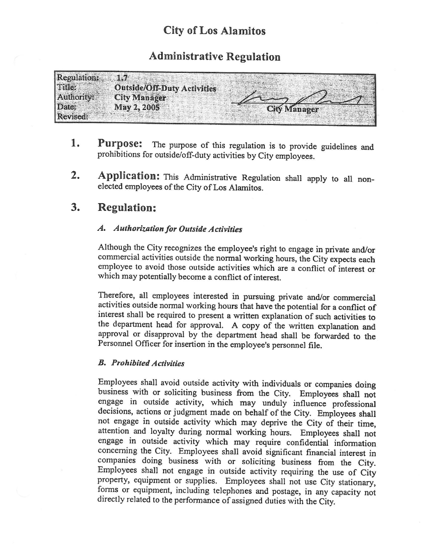# City of Los Alamitos

## Administrative Regulation

| <b>Regulation:</b>                                             |  |
|----------------------------------------------------------------|--|
| <b>FERICA</b><br><b>Outside/Off-Duty Activities</b>            |  |
| <b>Authority:</b><br><b>City Managers</b>                      |  |
| Date:<br>May 2, 2005<br><b>City Manager</b><br><b>Revised:</b> |  |

- 1. Purpose: The purpose of this regulation is to provide guidelines and prohibitions for outside/off-duty activities by City employees.
- 2. Application: This Administrative Regulation shall apply to all nonelected employees of the City of Los Alamitos.

### 3. Regulation:

#### A. Authorization for Outside Activities

Although the City recognizes the employee's right to engage in private and/or commercial activities outside the normal working hours, the City expects each employee to avoid those outside activities which are <sup>a</sup> conflict of interest or which may potentially become a conflict of interest.

Therefore, all employees interested in pursuing private and/or commercial activities outside normal working hours that have the potential for <sup>a</sup> conflict of interest shall be required to present <sup>a</sup> written explanation of such activities to the department head for approval. A copy of the written explanation and approval or disapproval by the department head shall be forwarded to the Personnel Officer for insertion in the employee's personnel file.

#### B. Prohibited Activities

Employees shall avoid outside activity with individuals or companies doing business with or soliciting business from the City. Employees shall not engage in outside activity, which may unduly influence professional decisions, actions or judgment made on behalf of the City. Employees shall not engage in outside activity which may deprive the City of their time, attention and loyalty during normal working hours. Employees shall not engage in outside activity which may require confidential information concerning the City. Employees shall avoid significant financial interest in companies doing business with or soliciting business from the City. Employees shall not engage in outside activity requiring the use of City property, equipment or supplies. Employees shall not use City stationary, forms or equipment, including telephones and postage, in any capacity not directly related to the performance of assigned duties with the City.